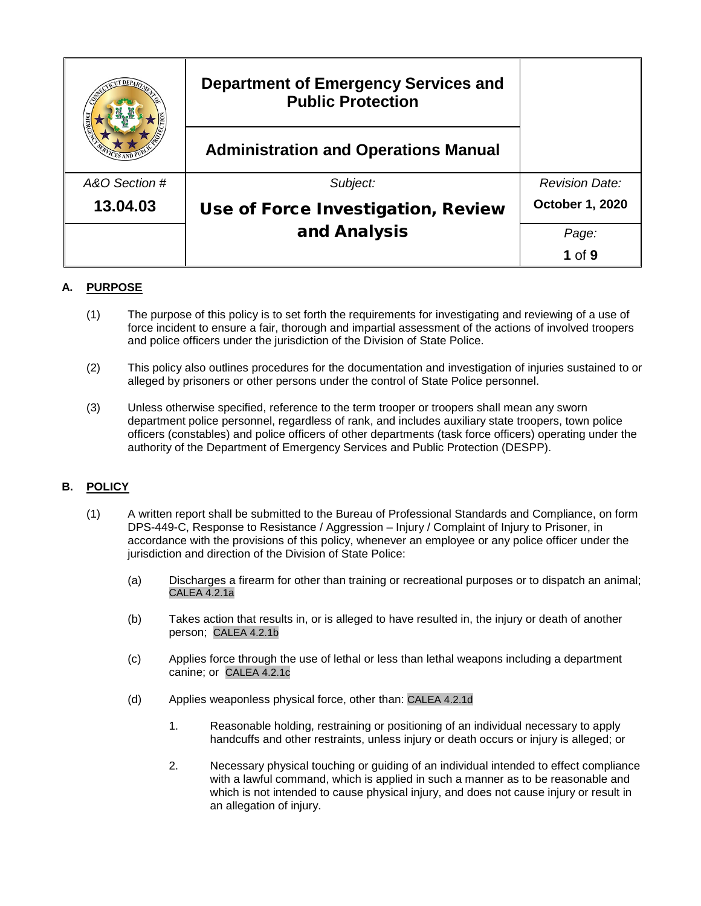|               | <b>Department of Emergency Services and</b><br><b>Public Protection</b> |                       |
|---------------|-------------------------------------------------------------------------|-----------------------|
|               | <b>Administration and Operations Manual</b>                             |                       |
| A&O Section # | Subject:                                                                | <b>Revision Date:</b> |
| 13.04.03      | Use of Force Investigation, Review                                      | October 1, 2020       |
|               | and Analysis                                                            | Page:                 |
|               |                                                                         | $1$ of $9$            |

# **A. PURPOSE**

- (1) The purpose of this policy is to set forth the requirements for investigating and reviewing of a use of force incident to ensure a fair, thorough and impartial assessment of the actions of involved troopers and police officers under the jurisdiction of the Division of State Police.
- (2) This policy also outlines procedures for the documentation and investigation of injuries sustained to or alleged by prisoners or other persons under the control of State Police personnel.
- (3) Unless otherwise specified, reference to the term trooper or troopers shall mean any sworn department police personnel, regardless of rank, and includes auxiliary state troopers, town police officers (constables) and police officers of other departments (task force officers) operating under the authority of the Department of Emergency Services and Public Protection (DESPP).

## **B. POLICY**

- (1) A written report shall be submitted to the Bureau of Professional Standards and Compliance, on form DPS-449-C, Response to Resistance / Aggression – Injury / Complaint of Injury to Prisoner, in accordance with the provisions of this policy, whenever an employee or any police officer under the jurisdiction and direction of the Division of State Police:
	- (a) Discharges a firearm for other than training or recreational purposes or to dispatch an animal; CALEA 4.2.1a
	- (b) Takes action that results in, or is alleged to have resulted in, the injury or death of another person; CALEA 4.2.1b
	- (c) Applies force through the use of lethal or less than lethal weapons including a department canine; or CALEA 4.2.1c
	- (d) Applies weaponless physical force, other than: CALEA 4.2.1d
		- 1. Reasonable holding, restraining or positioning of an individual necessary to apply handcuffs and other restraints, unless injury or death occurs or injury is alleged; or
		- 2. Necessary physical touching or guiding of an individual intended to effect compliance with a lawful command, which is applied in such a manner as to be reasonable and which is not intended to cause physical injury, and does not cause injury or result in an allegation of injury.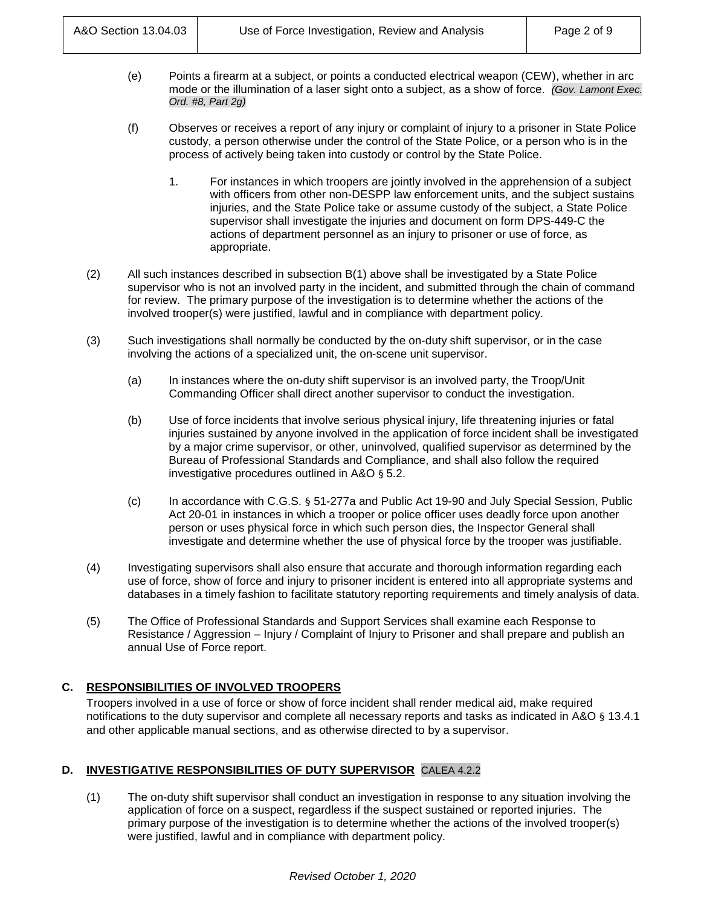- (e) Points a firearm at a subject, or points a conducted electrical weapon (CEW), whether in arc mode or the illumination of a laser sight onto a subject, as a show of force. *(Gov. Lamont Exec. Ord. #8, Part 2g)*
- (f) Observes or receives a report of any injury or complaint of injury to a prisoner in State Police custody, a person otherwise under the control of the State Police, or a person who is in the process of actively being taken into custody or control by the State Police.
	- 1. For instances in which troopers are jointly involved in the apprehension of a subject with officers from other non-DESPP law enforcement units, and the subject sustains injuries, and the State Police take or assume custody of the subject, a State Police supervisor shall investigate the injuries and document on form DPS-449-C the actions of department personnel as an injury to prisoner or use of force, as appropriate.
- (2) All such instances described in subsection B(1) above shall be investigated by a State Police supervisor who is not an involved party in the incident, and submitted through the chain of command for review. The primary purpose of the investigation is to determine whether the actions of the involved trooper(s) were justified, lawful and in compliance with department policy.
- (3) Such investigations shall normally be conducted by the on-duty shift supervisor, or in the case involving the actions of a specialized unit, the on-scene unit supervisor.
	- (a) In instances where the on-duty shift supervisor is an involved party, the Troop/Unit Commanding Officer shall direct another supervisor to conduct the investigation.
	- (b) Use of force incidents that involve serious physical injury, life threatening injuries or fatal injuries sustained by anyone involved in the application of force incident shall be investigated by a major crime supervisor, or other, uninvolved, qualified supervisor as determined by the Bureau of Professional Standards and Compliance, and shall also follow the required investigative procedures outlined in A&O § 5.2.
	- (c) In accordance with C.G.S. § 51-277a and Public Act 19-90 and July Special Session, Public Act 20-01 in instances in which a trooper or police officer uses deadly force upon another person or uses physical force in which such person dies, the Inspector General shall investigate and determine whether the use of physical force by the trooper was justifiable.
- (4) Investigating supervisors shall also ensure that accurate and thorough information regarding each use of force, show of force and injury to prisoner incident is entered into all appropriate systems and databases in a timely fashion to facilitate statutory reporting requirements and timely analysis of data.
- (5) The Office of Professional Standards and Support Services shall examine each Response to Resistance / Aggression – Injury / Complaint of Injury to Prisoner and shall prepare and publish an annual Use of Force report.

## **C. RESPONSIBILITIES OF INVOLVED TROOPERS**

Troopers involved in a use of force or show of force incident shall render medical aid, make required notifications to the duty supervisor and complete all necessary reports and tasks as indicated in A&O § 13.4.1 and other applicable manual sections, and as otherwise directed to by a supervisor.

## **D. INVESTIGATIVE RESPONSIBILITIES OF DUTY SUPERVISOR** CALEA 4.2.2

(1) The on-duty shift supervisor shall conduct an investigation in response to any situation involving the application of force on a suspect, regardless if the suspect sustained or reported injuries. The primary purpose of the investigation is to determine whether the actions of the involved trooper(s) were justified, lawful and in compliance with department policy.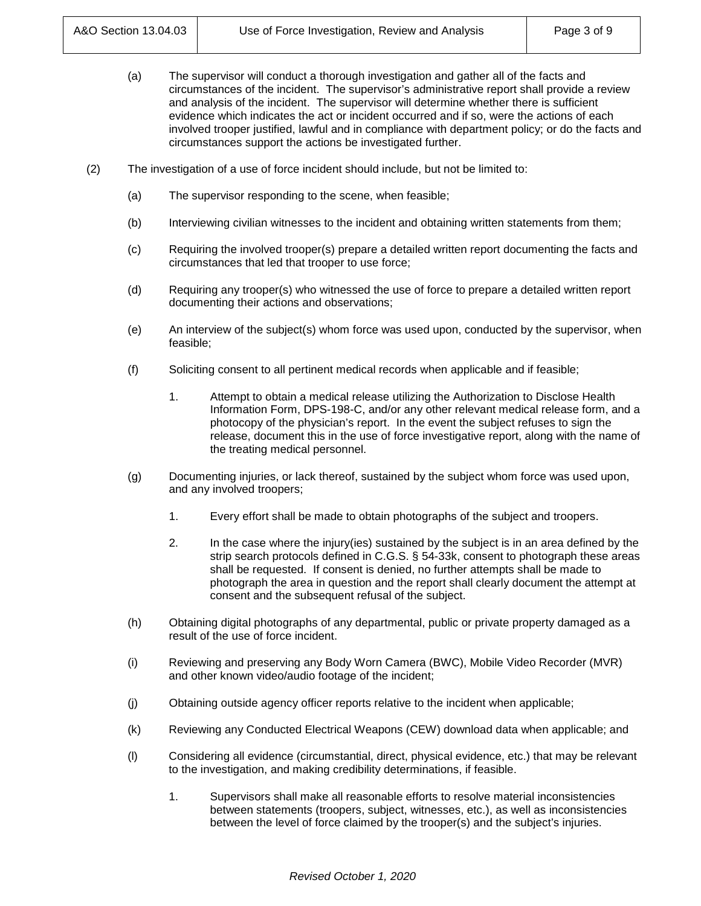- (a) The supervisor will conduct a thorough investigation and gather all of the facts and circumstances of the incident. The supervisor's administrative report shall provide a review and analysis of the incident. The supervisor will determine whether there is sufficient evidence which indicates the act or incident occurred and if so, were the actions of each involved trooper justified, lawful and in compliance with department policy; or do the facts and circumstances support the actions be investigated further.
- (2) The investigation of a use of force incident should include, but not be limited to:
	- (a) The supervisor responding to the scene, when feasible;
	- (b) Interviewing civilian witnesses to the incident and obtaining written statements from them;
	- (c) Requiring the involved trooper(s) prepare a detailed written report documenting the facts and circumstances that led that trooper to use force;
	- (d) Requiring any trooper(s) who witnessed the use of force to prepare a detailed written report documenting their actions and observations;
	- (e) An interview of the subject(s) whom force was used upon, conducted by the supervisor, when feasible;
	- (f) Soliciting consent to all pertinent medical records when applicable and if feasible;
		- 1. Attempt to obtain a medical release utilizing the Authorization to Disclose Health Information Form, DPS-198-C, and/or any other relevant medical release form, and a photocopy of the physician's report. In the event the subject refuses to sign the release, document this in the use of force investigative report, along with the name of the treating medical personnel.
	- (g) Documenting injuries, or lack thereof, sustained by the subject whom force was used upon, and any involved troopers;
		- 1. Every effort shall be made to obtain photographs of the subject and troopers.
		- 2. In the case where the injury(ies) sustained by the subject is in an area defined by the strip search protocols defined in C.G.S. § 54-33k, consent to photograph these areas shall be requested. If consent is denied, no further attempts shall be made to photograph the area in question and the report shall clearly document the attempt at consent and the subsequent refusal of the subject.
	- (h) Obtaining digital photographs of any departmental, public or private property damaged as a result of the use of force incident.
	- (i) Reviewing and preserving any Body Worn Camera (BWC), Mobile Video Recorder (MVR) and other known video/audio footage of the incident;
	- (j) Obtaining outside agency officer reports relative to the incident when applicable;
	- (k) Reviewing any Conducted Electrical Weapons (CEW) download data when applicable; and
	- (l) Considering all evidence (circumstantial, direct, physical evidence, etc.) that may be relevant to the investigation, and making credibility determinations, if feasible.
		- 1. Supervisors shall make all reasonable efforts to resolve material inconsistencies between statements (troopers, subject, witnesses, etc.), as well as inconsistencies between the level of force claimed by the trooper(s) and the subject's injuries.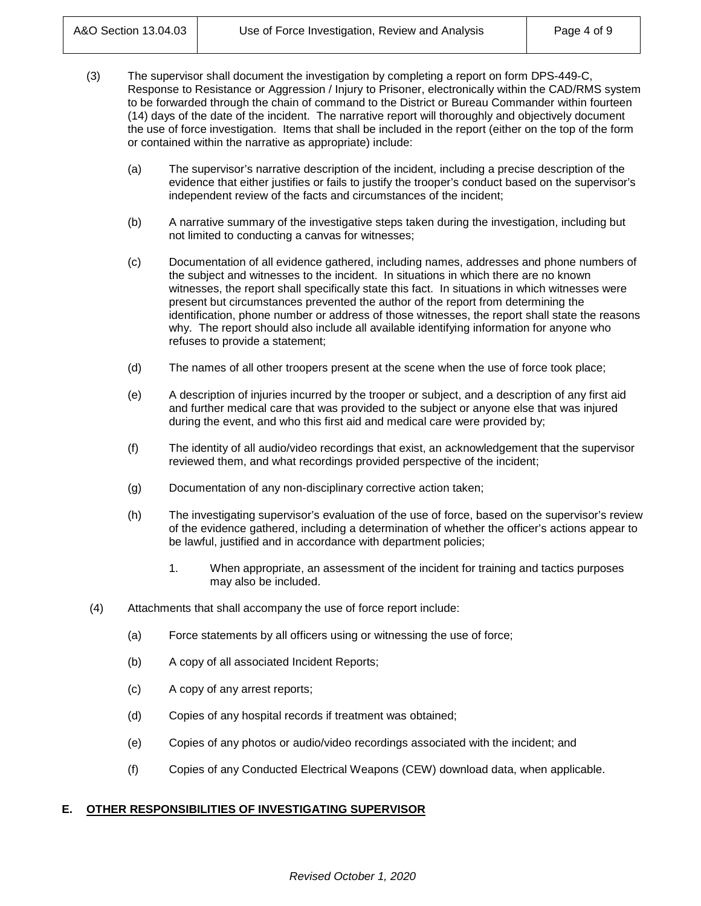- (3) The supervisor shall document the investigation by completing a report on form DPS-449-C, Response to Resistance or Aggression / Injury to Prisoner, electronically within the CAD/RMS system to be forwarded through the chain of command to the District or Bureau Commander within fourteen (14) days of the date of the incident. The narrative report will thoroughly and objectively document the use of force investigation. Items that shall be included in the report (either on the top of the form or contained within the narrative as appropriate) include:
	- (a) The supervisor's narrative description of the incident, including a precise description of the evidence that either justifies or fails to justify the trooper's conduct based on the supervisor's independent review of the facts and circumstances of the incident;
	- (b) A narrative summary of the investigative steps taken during the investigation, including but not limited to conducting a canvas for witnesses;
	- (c) Documentation of all evidence gathered, including names, addresses and phone numbers of the subject and witnesses to the incident. In situations in which there are no known witnesses, the report shall specifically state this fact. In situations in which witnesses were present but circumstances prevented the author of the report from determining the identification, phone number or address of those witnesses, the report shall state the reasons why. The report should also include all available identifying information for anyone who refuses to provide a statement;
	- (d) The names of all other troopers present at the scene when the use of force took place;
	- (e) A description of injuries incurred by the trooper or subject, and a description of any first aid and further medical care that was provided to the subject or anyone else that was injured during the event, and who this first aid and medical care were provided by;
	- (f) The identity of all audio/video recordings that exist, an acknowledgement that the supervisor reviewed them, and what recordings provided perspective of the incident;
	- (g) Documentation of any non-disciplinary corrective action taken;
	- (h) The investigating supervisor's evaluation of the use of force, based on the supervisor's review of the evidence gathered, including a determination of whether the officer's actions appear to be lawful, justified and in accordance with department policies;
		- 1. When appropriate, an assessment of the incident for training and tactics purposes may also be included.
- (4) Attachments that shall accompany the use of force report include:
	- (a) Force statements by all officers using or witnessing the use of force;
	- (b) A copy of all associated Incident Reports;
	- (c) A copy of any arrest reports;
	- (d) Copies of any hospital records if treatment was obtained;
	- (e) Copies of any photos or audio/video recordings associated with the incident; and
	- (f) Copies of any Conducted Electrical Weapons (CEW) download data, when applicable.

#### **E. OTHER RESPONSIBILITIES OF INVESTIGATING SUPERVISOR**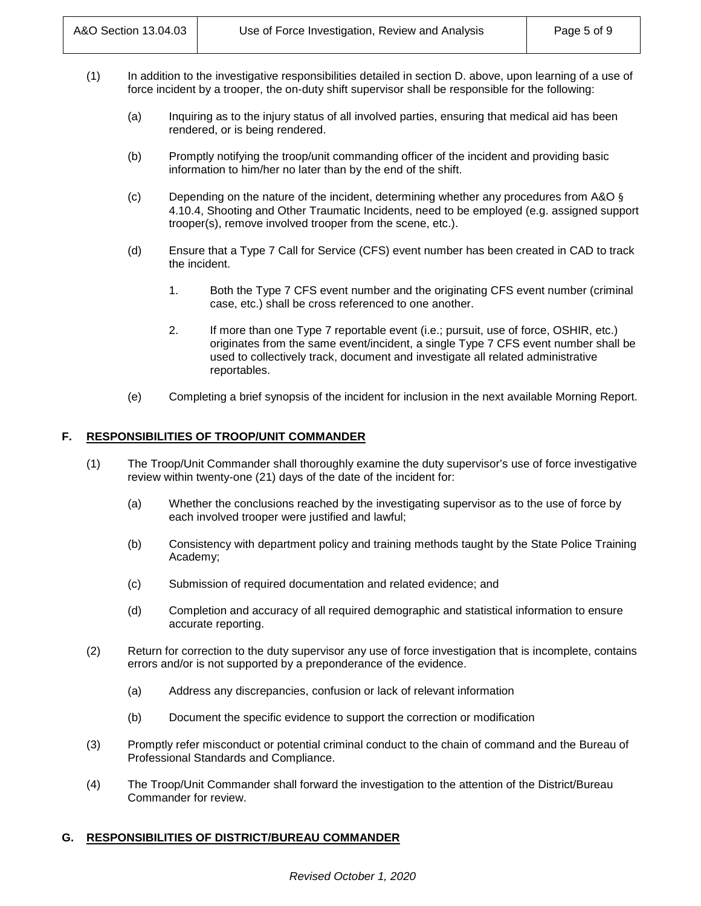- (1) In addition to the investigative responsibilities detailed in section D. above, upon learning of a use of force incident by a trooper, the on-duty shift supervisor shall be responsible for the following:
	- (a) Inquiring as to the injury status of all involved parties, ensuring that medical aid has been rendered, or is being rendered.
	- (b) Promptly notifying the troop/unit commanding officer of the incident and providing basic information to him/her no later than by the end of the shift.
	- (c) Depending on the nature of the incident, determining whether any procedures from A&O  $\S$ 4.10.4, Shooting and Other Traumatic Incidents, need to be employed (e.g. assigned support trooper(s), remove involved trooper from the scene, etc.).
	- (d) Ensure that a Type 7 Call for Service (CFS) event number has been created in CAD to track the incident.
		- 1. Both the Type 7 CFS event number and the originating CFS event number (criminal case, etc.) shall be cross referenced to one another.
		- 2. If more than one Type 7 reportable event (i.e.; pursuit, use of force, OSHIR, etc.) originates from the same event/incident, a single Type 7 CFS event number shall be used to collectively track, document and investigate all related administrative reportables.
	- (e) Completing a brief synopsis of the incident for inclusion in the next available Morning Report.

### **F. RESPONSIBILITIES OF TROOP/UNIT COMMANDER**

- (1) The Troop/Unit Commander shall thoroughly examine the duty supervisor's use of force investigative review within twenty-one (21) days of the date of the incident for:
	- (a) Whether the conclusions reached by the investigating supervisor as to the use of force by each involved trooper were justified and lawful;
	- (b) Consistency with department policy and training methods taught by the State Police Training Academy;
	- (c) Submission of required documentation and related evidence; and
	- (d) Completion and accuracy of all required demographic and statistical information to ensure accurate reporting.
- (2) Return for correction to the duty supervisor any use of force investigation that is incomplete, contains errors and/or is not supported by a preponderance of the evidence.
	- (a) Address any discrepancies, confusion or lack of relevant information
	- (b) Document the specific evidence to support the correction or modification
- (3) Promptly refer misconduct or potential criminal conduct to the chain of command and the Bureau of Professional Standards and Compliance.
- (4) The Troop/Unit Commander shall forward the investigation to the attention of the District/Bureau Commander for review.

#### **G. RESPONSIBILITIES OF DISTRICT/BUREAU COMMANDER**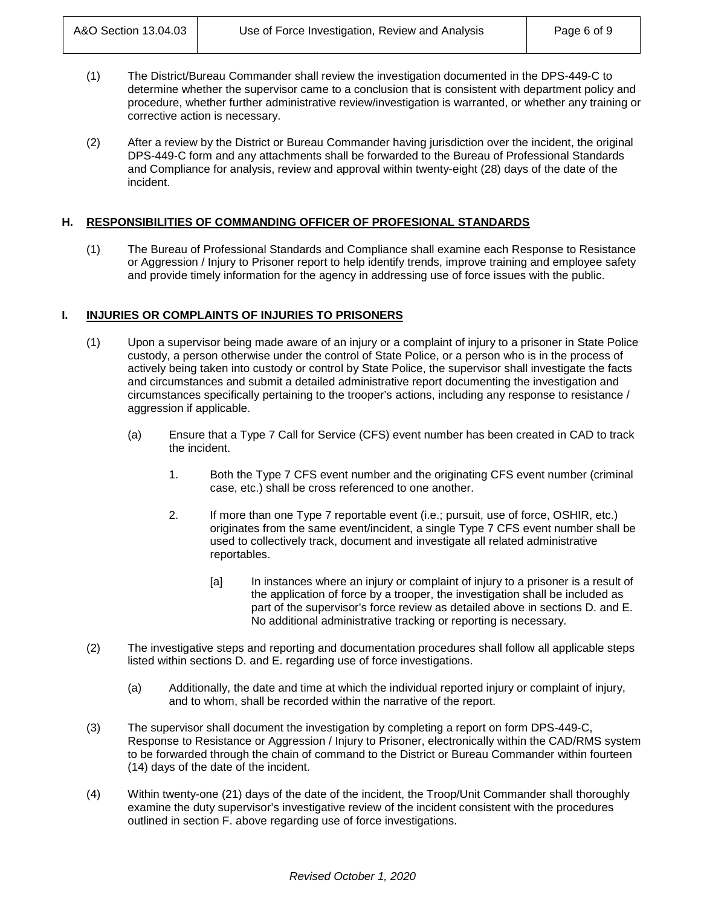- (1) The District/Bureau Commander shall review the investigation documented in the DPS-449-C to determine whether the supervisor came to a conclusion that is consistent with department policy and procedure, whether further administrative review/investigation is warranted, or whether any training or corrective action is necessary.
- (2) After a review by the District or Bureau Commander having jurisdiction over the incident, the original DPS-449-C form and any attachments shall be forwarded to the Bureau of Professional Standards and Compliance for analysis, review and approval within twenty-eight (28) days of the date of the incident.

### **H. RESPONSIBILITIES OF COMMANDING OFFICER OF PROFESIONAL STANDARDS**

(1) The Bureau of Professional Standards and Compliance shall examine each Response to Resistance or Aggression / Injury to Prisoner report to help identify trends, improve training and employee safety and provide timely information for the agency in addressing use of force issues with the public.

### **I. INJURIES OR COMPLAINTS OF INJURIES TO PRISONERS**

- (1) Upon a supervisor being made aware of an injury or a complaint of injury to a prisoner in State Police custody, a person otherwise under the control of State Police, or a person who is in the process of actively being taken into custody or control by State Police, the supervisor shall investigate the facts and circumstances and submit a detailed administrative report documenting the investigation and circumstances specifically pertaining to the trooper's actions, including any response to resistance / aggression if applicable.
	- (a) Ensure that a Type 7 Call for Service (CFS) event number has been created in CAD to track the incident.
		- 1. Both the Type 7 CFS event number and the originating CFS event number (criminal case, etc.) shall be cross referenced to one another.
		- 2. If more than one Type 7 reportable event (i.e.; pursuit, use of force, OSHIR, etc.) originates from the same event/incident, a single Type 7 CFS event number shall be used to collectively track, document and investigate all related administrative reportables.
			- [a] In instances where an injury or complaint of injury to a prisoner is a result of the application of force by a trooper, the investigation shall be included as part of the supervisor's force review as detailed above in sections D. and E. No additional administrative tracking or reporting is necessary.
- (2) The investigative steps and reporting and documentation procedures shall follow all applicable steps listed within sections D. and E. regarding use of force investigations.
	- (a) Additionally, the date and time at which the individual reported injury or complaint of injury, and to whom, shall be recorded within the narrative of the report.
- (3) The supervisor shall document the investigation by completing a report on form DPS-449-C, Response to Resistance or Aggression / Injury to Prisoner, electronically within the CAD/RMS system to be forwarded through the chain of command to the District or Bureau Commander within fourteen (14) days of the date of the incident.
- (4) Within twenty-one (21) days of the date of the incident, the Troop/Unit Commander shall thoroughly examine the duty supervisor's investigative review of the incident consistent with the procedures outlined in section F. above regarding use of force investigations.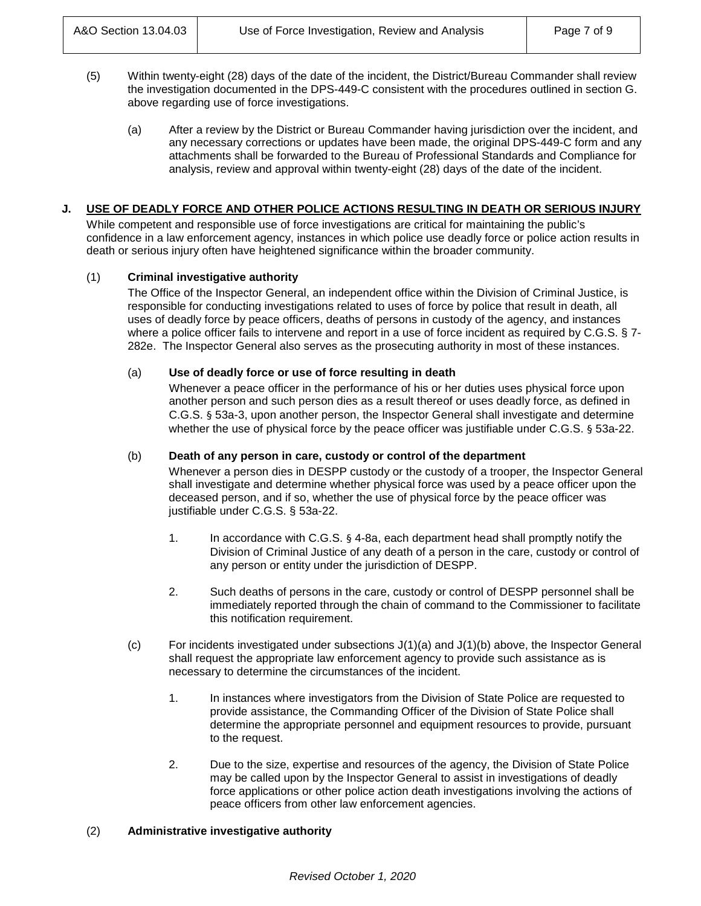- (5) Within twenty-eight (28) days of the date of the incident, the District/Bureau Commander shall review the investigation documented in the DPS-449-C consistent with the procedures outlined in section G. above regarding use of force investigations.
	- (a) After a review by the District or Bureau Commander having jurisdiction over the incident, and any necessary corrections or updates have been made, the original DPS-449-C form and any attachments shall be forwarded to the Bureau of Professional Standards and Compliance for analysis, review and approval within twenty-eight (28) days of the date of the incident.

### **J. USE OF DEADLY FORCE AND OTHER POLICE ACTIONS RESULTING IN DEATH OR SERIOUS INJURY**

While competent and responsible use of force investigations are critical for maintaining the public's confidence in a law enforcement agency, instances in which police use deadly force or police action results in death or serious injury often have heightened significance within the broader community.

### (1) **Criminal investigative authority**

The Office of the Inspector General, an independent office within the Division of Criminal Justice, is responsible for conducting investigations related to uses of force by police that result in death, all uses of deadly force by peace officers, deaths of persons in custody of the agency, and instances where a police officer fails to intervene and report in a use of force incident as required by C.G.S. § 7-282e. The Inspector General also serves as the prosecuting authority in most of these instances.

#### (a) **Use of deadly force or use of force resulting in death**

Whenever a peace officer in the performance of his or her duties uses physical force upon another person and such person dies as a result thereof or uses deadly force, as defined in C.G.S. § 53a-3, upon another person, the Inspector General shall investigate and determine whether the use of physical force by the peace officer was justifiable under C.G.S. § 53a-22.

#### (b) **Death of any person in care, custody or control of the department**

Whenever a person dies in DESPP custody or the custody of a trooper, the Inspector General shall investigate and determine whether physical force was used by a peace officer upon the deceased person, and if so, whether the use of physical force by the peace officer was justifiable under C.G.S. § 53a-22.

- 1. In accordance with C.G.S. § 4-8a, each department head shall promptly notify the Division of Criminal Justice of any death of a person in the care, custody or control of any person or entity under the jurisdiction of DESPP.
- 2. Such deaths of persons in the care, custody or control of DESPP personnel shall be immediately reported through the chain of command to the Commissioner to facilitate this notification requirement.
- $(c)$  For incidents investigated under subsections  $J(1)(a)$  and  $J(1)(b)$  above, the Inspector General shall request the appropriate law enforcement agency to provide such assistance as is necessary to determine the circumstances of the incident.
	- 1. In instances where investigators from the Division of State Police are requested to provide assistance, the Commanding Officer of the Division of State Police shall determine the appropriate personnel and equipment resources to provide, pursuant to the request.
	- 2. Due to the size, expertise and resources of the agency, the Division of State Police may be called upon by the Inspector General to assist in investigations of deadly force applications or other police action death investigations involving the actions of peace officers from other law enforcement agencies.

#### (2) **Administrative investigative authority**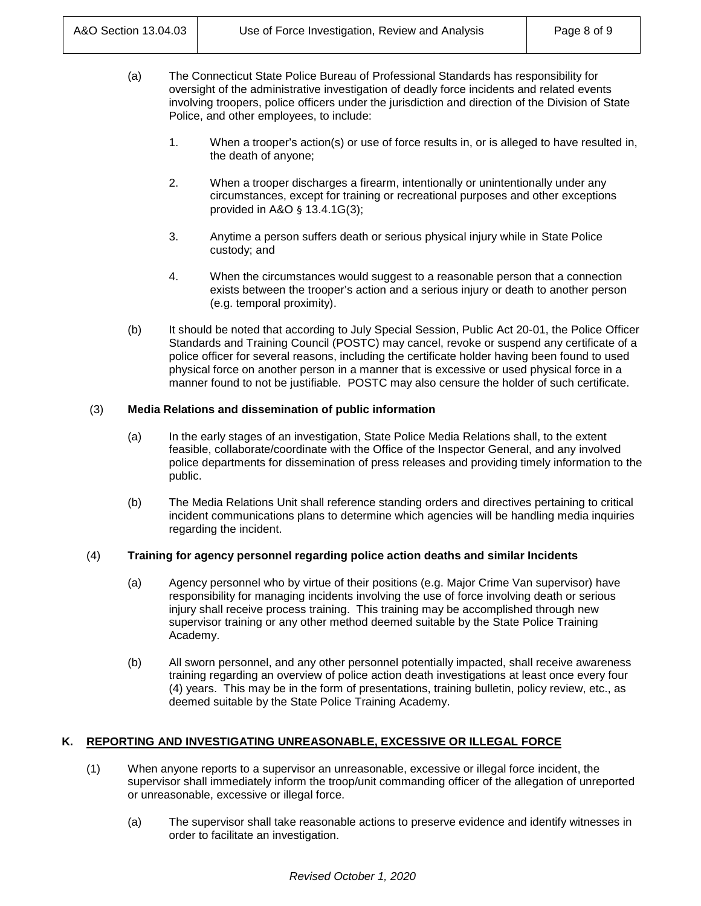- (a) The Connecticut State Police Bureau of Professional Standards has responsibility for oversight of the administrative investigation of deadly force incidents and related events involving troopers, police officers under the jurisdiction and direction of the Division of State Police, and other employees, to include:
	- 1. When a trooper's action(s) or use of force results in, or is alleged to have resulted in, the death of anyone;
	- 2. When a trooper discharges a firearm, intentionally or unintentionally under any circumstances, except for training or recreational purposes and other exceptions provided in A&O § 13.4.1G(3);
	- 3. Anytime a person suffers death or serious physical injury while in State Police custody; and
	- 4. When the circumstances would suggest to a reasonable person that a connection exists between the trooper's action and a serious injury or death to another person (e.g. temporal proximity).
- (b) It should be noted that according to July Special Session, Public Act 20-01, the Police Officer Standards and Training Council (POSTC) may cancel, revoke or suspend any certificate of a police officer for several reasons, including the certificate holder having been found to used physical force on another person in a manner that is excessive or used physical force in a manner found to not be justifiable. POSTC may also censure the holder of such certificate.

## (3) **Media Relations and dissemination of public information**

- (a) In the early stages of an investigation, State Police Media Relations shall, to the extent feasible, collaborate/coordinate with the Office of the Inspector General, and any involved police departments for dissemination of press releases and providing timely information to the public.
- (b) The Media Relations Unit shall reference standing orders and directives pertaining to critical incident communications plans to determine which agencies will be handling media inquiries regarding the incident.

#### (4) **Training for agency personnel regarding police action deaths and similar Incidents**

- (a) Agency personnel who by virtue of their positions (e.g. Major Crime Van supervisor) have responsibility for managing incidents involving the use of force involving death or serious injury shall receive process training. This training may be accomplished through new supervisor training or any other method deemed suitable by the State Police Training Academy.
- (b) All sworn personnel, and any other personnel potentially impacted, shall receive awareness training regarding an overview of police action death investigations at least once every four (4) years. This may be in the form of presentations, training bulletin, policy review, etc., as deemed suitable by the State Police Training Academy.

## **K. REPORTING AND INVESTIGATING UNREASONABLE, EXCESSIVE OR ILLEGAL FORCE**

- (1) When anyone reports to a supervisor an unreasonable, excessive or illegal force incident, the supervisor shall immediately inform the troop/unit commanding officer of the allegation of unreported or unreasonable, excessive or illegal force.
	- (a) The supervisor shall take reasonable actions to preserve evidence and identify witnesses in order to facilitate an investigation.